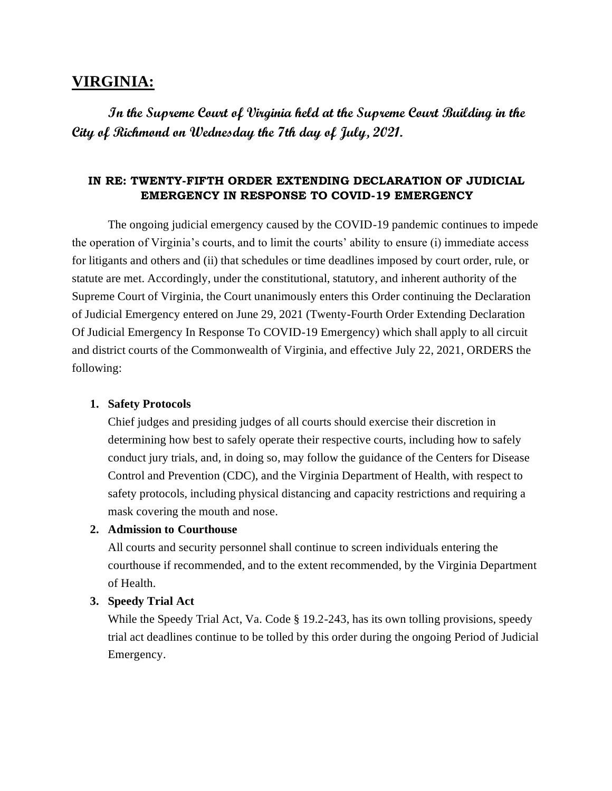# **VIRGINIA:**

**In the Supreme Court of Virginia held at the Supreme Court Building in the City of Richmond on Wednesday the 7th day of July, 2021.** 

## **IN RE: TWENTY-FIFTH ORDER EXTENDING DECLARATION OF JUDICIAL EMERGENCY IN RESPONSE TO COVID-19 EMERGENCY**

The ongoing judicial emergency caused by the COVID-19 pandemic continues to impede the operation of Virginia's courts, and to limit the courts' ability to ensure (i) immediate access for litigants and others and (ii) that schedules or time deadlines imposed by court order, rule, or statute are met. Accordingly, under the constitutional, statutory, and inherent authority of the Supreme Court of Virginia, the Court unanimously enters this Order continuing the Declaration of Judicial Emergency entered on June 29, 2021 (Twenty-Fourth Order Extending Declaration Of Judicial Emergency In Response To COVID-19 Emergency) which shall apply to all circuit and district courts of the Commonwealth of Virginia, and effective July 22, 2021, ORDERS the following:

#### **1. Safety Protocols**

Chief judges and presiding judges of all courts should exercise their discretion in determining how best to safely operate their respective courts, including how to safely conduct jury trials, and, in doing so, may follow the guidance of the Centers for Disease Control and Prevention (CDC), and the Virginia Department of Health, with respect to safety protocols, including physical distancing and capacity restrictions and requiring a mask covering the mouth and nose.

#### **2. Admission to Courthouse**

All courts and security personnel shall continue to screen individuals entering the courthouse if recommended, and to the extent recommended, by the Virginia Department of Health.

#### **3. Speedy Trial Act**

While the Speedy Trial Act, Va. Code § 19.2-243, has its own tolling provisions, speedy trial act deadlines continue to be tolled by this order during the ongoing Period of Judicial Emergency.